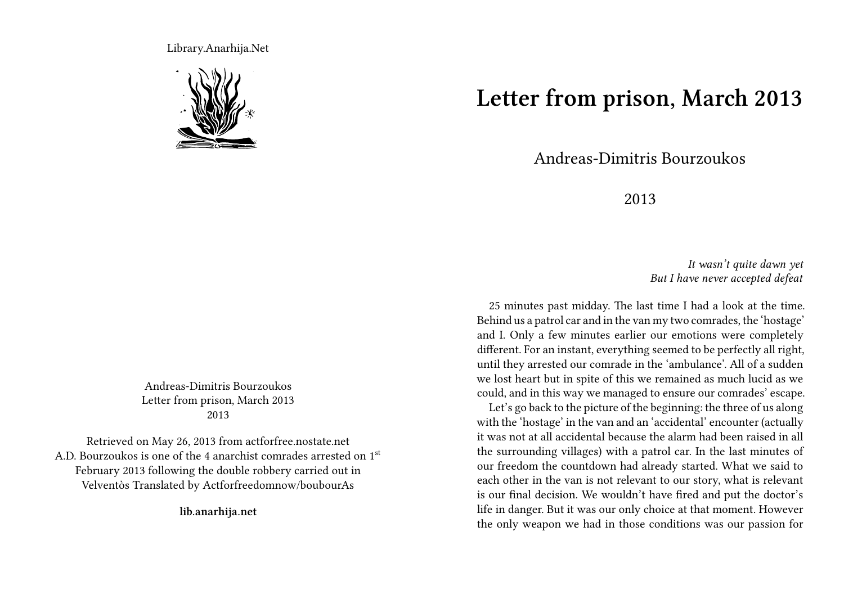Library.Anarhija.Net



Andreas-Dimitris Bourzoukos Letter from prison, March 2013 2013

Retrieved on May 26, 2013 from actforfree.nostate.net A.D. Bourzoukos is one of the 4 anarchist comrades arrested on 1st February 2013 following the double robbery carried out in Velventòs Translated by Actforfreedomnow/boubourAs

**lib.anarhija.net**

**Letter from prison, March 2013**

Andreas-Dimitris Bourzoukos

2013

*It wasn't quite dawn yet But I have never accepted defeat*

25 minutes past midday. The last time I had a look at the time. Behind us a patrol car and in the van my two comrades, the 'hostage' and I. Only a few minutes earlier our emotions were completely different. For an instant, everything seemed to be perfectly all right, until they arrested our comrade in the 'ambulance'. All of a sudden we lost heart but in spite of this we remained as much lucid as we could, and in this way we managed to ensure our comrades' escape.

Let's go back to the picture of the beginning: the three of us along with the 'hostage' in the van and an 'accidental' encounter (actually it was not at all accidental because the alarm had been raised in all the surrounding villages) with a patrol car. In the last minutes of our freedom the countdown had already started. What we said to each other in the van is not relevant to our story, what is relevant is our final decision. We wouldn't have fired and put the doctor's life in danger. But it was our only choice at that moment. However the only weapon we had in those conditions was our passion for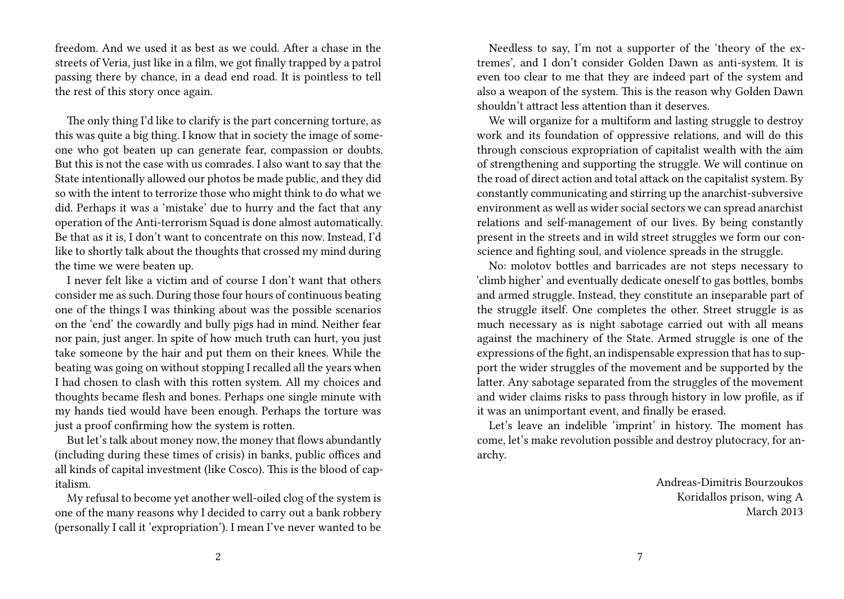freedom. And we used it as best as we could. After a chase in the streets of Veria, just like in a film, we got finally trapped by a patrol passing there by chance, in a dead end road. It is pointless to tell the rest of this story once again.

The only thing I'd like to clarify is the part concerning torture, as this was quite a big thing. I know that in society the image of someone who got beaten up can generate fear, compassion or doubts. But this is not the case with us comrades. I also want to say that the State intentionally allowed our photos be made public, and they did so with the intent to terrorize those who might think to do what we did. Perhaps it was a 'mistake' due to hurry and the fact that any operation of the Anti-terrorism Squad is done almost automatically. Be that as it is, I don't want to concentrate on this now. Instead, I'd like to shortly talk about the thoughts that crossed my mind during the time we were beaten up.

I never felt like a victim and of course I don't want that others consider me as such. During those four hours of continuous beating one of the things I was thinking about was the possible scenarios on the 'end' the cowardly and bully pigs had in mind. Neither fear nor pain, just anger. In spite of how much truth can hurt, you just take someone by the hair and put them on their knees. While the beating was going on without stopping I recalled all the years when I had chosen to clash with this rotten system. All my choices and thoughts became flesh and bones. Perhaps one single minute with my hands tied would have been enough. Perhaps the torture was just a proof confirming how the system is rotten.

But let's talk about money now, the money that flows abundantly (including during these times of crisis) in banks, public offices and all kinds of capital investment (like Cosco). This is the blood of capitalism.

My refusal to become yet another well-oiled clog of the system is one of the many reasons why I decided to carry out a bank robbery (personally I call it 'expropriation'). I mean I've never wanted to be

Needless to say, I'm not a supporter of the 'theory of the extremes', and I don't consider Golden Dawn as anti-system. It is even too clear to me that they are indeed part of the system and also a weapon of the system. This is the reason why Golden Dawn shouldn't attract less attention than it deserves.

We will organize for a multiform and lasting struggle to destroy work and its foundation of oppressive relations, and will do this through conscious expropriation of capitalist wealth with the aim of strengthening and supporting the struggle. We will continue on the road of direct action and total attack on the capitalist system. By constantly communicating and stirring up the anarchist-subversive environment as well as wider social sectors we can spread anarchist relations and self-management of our lives. By being constantly present in the streets and in wild street struggles we form our conscience and fighting soul, and violence spreads in the struggle.

No: molotov bottles and barricades are not steps necessary to 'climb higher' and eventually dedicate oneself to gas bottles, bombs and armed struggle. Instead, they constitute an inseparable part of the struggle itself. One completes the other. Street struggle is as much necessary as is night sabotage carried out with all means against the machinery of the State. Armed struggle is one of the expressions of the fight, an indispensable expression that has to support the wider struggles of the movement and be supported by the latter. Any sabotage separated from the struggles of the movement and wider claims risks to pass through history in low profile, as if it was an unimportant event, and finally be erased.

Let's leave an indelible 'imprint' in history. The moment has come, let's make revolution possible and destroy plutocracy, for anarchy.

> Andreas-Dimitris Bourzoukos Koridallos prison, wing A March 2013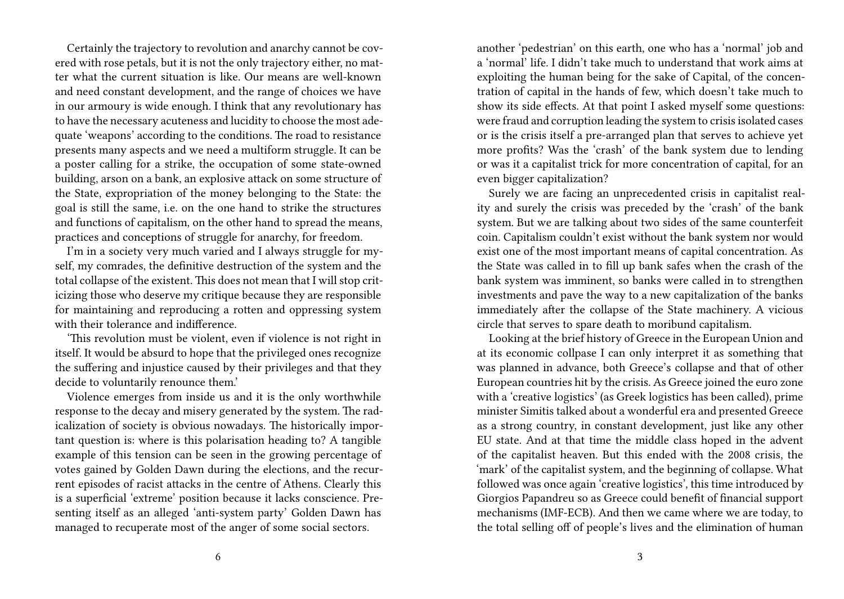Certainly the trajectory to revolution and anarchy cannot be covered with rose petals, but it is not the only trajectory either, no matter what the current situation is like. Our means are well-known and need constant development, and the range of choices we have in our armoury is wide enough. I think that any revolutionary has to have the necessary acuteness and lucidity to choose the most adequate 'weapons' according to the conditions. The road to resistance presents many aspects and we need a multiform struggle. It can be a poster calling for a strike, the occupation of some state-owned building, arson on a bank, an explosive attack on some structure of the State, expropriation of the money belonging to the State: the goal is still the same, i.e. on the one hand to strike the structures and functions of capitalism, on the other hand to spread the means, practices and conceptions of struggle for anarchy, for freedom.

I'm in a society very much varied and I always struggle for myself, my comrades, the definitive destruction of the system and the total collapse of the existent. This does not mean that I will stop criticizing those who deserve my critique because they are responsible for maintaining and reproducing a rotten and oppressing system with their tolerance and indifference.

'This revolution must be violent, even if violence is not right in itself. It would be absurd to hope that the privileged ones recognize the suffering and injustice caused by their privileges and that they decide to voluntarily renounce them.'

Violence emerges from inside us and it is the only worthwhile response to the decay and misery generated by the system. The radicalization of society is obvious nowadays. The historically important question is: where is this polarisation heading to? A tangible example of this tension can be seen in the growing percentage of votes gained by Golden Dawn during the elections, and the recurrent episodes of racist attacks in the centre of Athens. Clearly this is a superficial 'extreme' position because it lacks conscience. Presenting itself as an alleged 'anti-system party' Golden Dawn has managed to recuperate most of the anger of some social sectors.

another 'pedestrian' on this earth, one who has a 'normal' job and a 'normal' life. I didn't take much to understand that work aims at exploiting the human being for the sake of Capital, of the concentration of capital in the hands of few, which doesn't take much to show its side effects. At that point I asked myself some questions: were fraud and corruption leading the system to crisis isolated cases or is the crisis itself a pre-arranged plan that serves to achieve yet more profits? Was the 'crash' of the bank system due to lending or was it a capitalist trick for more concentration of capital, for an even bigger capitalization?

Surely we are facing an unprecedented crisis in capitalist reality and surely the crisis was preceded by the 'crash' of the bank system. But we are talking about two sides of the same counterfeit coin. Capitalism couldn't exist without the bank system nor would exist one of the most important means of capital concentration. As the State was called in to fill up bank safes when the crash of the bank system was imminent, so banks were called in to strengthen investments and pave the way to a new capitalization of the banks immediately after the collapse of the State machinery. A vicious circle that serves to spare death to moribund capitalism.

Looking at the brief history of Greece in the European Union and at its economic collpase I can only interpret it as something that was planned in advance, both Greece's collapse and that of other European countries hit by the crisis. As Greece joined the euro zone with a 'creative logistics' (as Greek logistics has been called), prime minister Simitis talked about a wonderful era and presented Greece as a strong country, in constant development, just like any other EU state. And at that time the middle class hoped in the advent of the capitalist heaven. But this ended with the 2008 crisis, the 'mark' of the capitalist system, and the beginning of collapse. What followed was once again 'creative logistics', this time introduced by Giorgios Papandreu so as Greece could benefit of financial support mechanisms (IMF-ECB). And then we came where we are today, to the total selling off of people's lives and the elimination of human